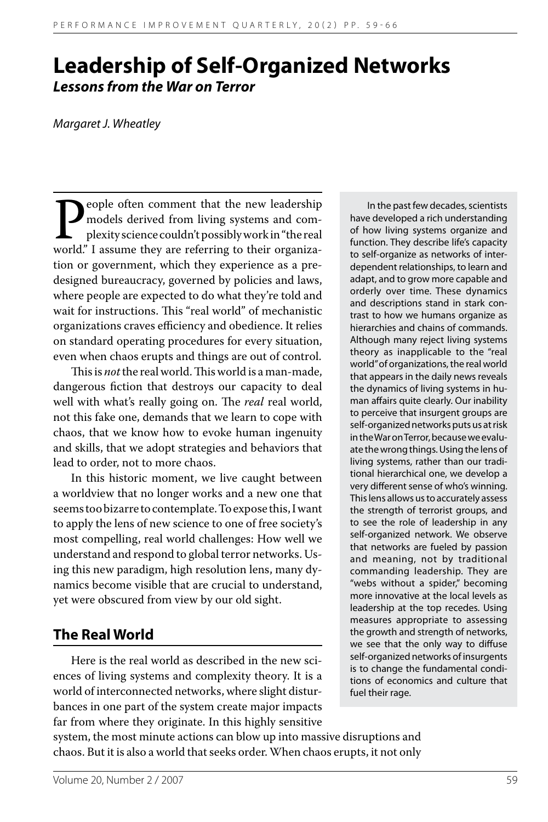# **Leadership of Self-Organized Networks**  *Lessons from the War on Terror*

*Margaret J. Wheatley*

**People often comment that the new leadership** models derived from living systems and complexity science couldn't possibly work in "the real world." I assume they are referring to their organizamodels derived from living systems and complexity science couldn't possibly work in "the real tion or government, which they experience as a predesigned bureaucracy, governed by policies and laws, where people are expected to do what they're told and wait for instructions. This "real world" of mechanistic organizations craves efficiency and obedience. It relies on standard operating procedures for every situation, even when chaos erupts and things are out of control.

This is *not* the real world. This world is a man-made, dangerous fiction that destroys our capacity to deal well with what's really going on. The *real* real world, not this fake one, demands that we learn to cope with chaos, that we know how to evoke human ingenuity and skills, that we adopt strategies and behaviors that lead to order, not to more chaos.

In this historic moment, we live caught between a worldview that no longer works and a new one that seems too bizarre to contemplate. To expose this, I want to apply the lens of new science to one of free society's most compelling, real world challenges: How well we understand and respond to global terror networks. Using this new paradigm, high resolution lens, many dynamics become visible that are crucial to understand, yet were obscured from view by our old sight.

## **The Real World**

Here is the real world as described in the new sciences of living systems and complexity theory. It is a world of interconnected networks, where slight disturbances in one part of the system create major impacts far from where they originate. In this highly sensitive

In the past few decades, scientists have developed a rich understanding of how living systems organize and function. They describe life's capacity to self-organize as networks of interdependent relationships, to learn and adapt, and to grow more capable and orderly over time. These dynamics and descriptions stand in stark contrast to how we humans organize as hierarchies and chains of commands. Although many reject living systems theory as inapplicable to the "real world" of organizations, the real world that appears in the daily news reveals the dynamics of living systems in human affairs quite clearly. Our inability to perceive that insurgent groups are self-organized networks puts us at risk in the War on Terror, because we evaluate the wrong things. Using the lens of living systems, rather than our traditional hierarchical one, we develop a very different sense of who's winning. This lens allows us to accurately assess the strength of terrorist groups, and to see the role of leadership in any self-organized network. We observe that networks are fueled by passion and meaning, not by traditional commanding leadership. They are "webs without a spider," becoming more innovative at the local levels as leadership at the top recedes. Using measures appropriate to assessing the growth and strength of networks, we see that the only way to diffuse self-organized networks of insurgents is to change the fundamental conditions of economics and culture that fuel their rage.

system, the most minute actions can blow up into massive disruptions and chaos. But it is also a world that seeks order. When chaos erupts, it not only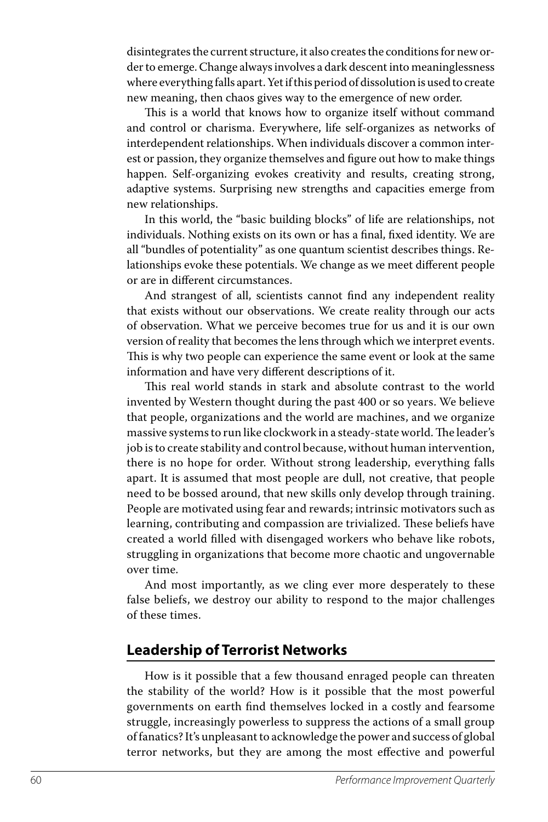disintegrates the current structure, it also creates the conditions for new order to emerge. Change always involves a dark descent into meaninglessness where everything falls apart. Yet if this period of dissolution is used to create new meaning, then chaos gives way to the emergence of new order.

This is a world that knows how to organize itself without command and control or charisma. Everywhere, life self-organizes as networks of interdependent relationships. When individuals discover a common interest or passion, they organize themselves and figure out how to make things happen. Self-organizing evokes creativity and results, creating strong, adaptive systems. Surprising new strengths and capacities emerge from new relationships.

In this world, the "basic building blocks" of life are relationships, not individuals. Nothing exists on its own or has a final, fixed identity. We are all "bundles of potentiality" as one quantum scientist describes things. Relationships evoke these potentials. We change as we meet different people or are in different circumstances.

And strangest of all, scientists cannot find any independent reality that exists without our observations. We create reality through our acts of observation. What we perceive becomes true for us and it is our own version of reality that becomes the lens through which we interpret events. This is why two people can experience the same event or look at the same information and have very different descriptions of it.

This real world stands in stark and absolute contrast to the world invented by Western thought during the past 400 or so years. We believe that people, organizations and the world are machines, and we organize massive systems to run like clockwork in a steady-state world. The leader's job is to create stability and control because, without human intervention, there is no hope for order. Without strong leadership, everything falls apart. It is assumed that most people are dull, not creative, that people need to be bossed around, that new skills only develop through training. People are motivated using fear and rewards; intrinsic motivators such as learning, contributing and compassion are trivialized. These beliefs have created a world filled with disengaged workers who behave like robots, struggling in organizations that become more chaotic and ungovernable over time.

And most importantly, as we cling ever more desperately to these false beliefs, we destroy our ability to respond to the major challenges of these times.

#### **Leadership of Terrorist Networks**

How is it possible that a few thousand enraged people can threaten the stability of the world? How is it possible that the most powerful governments on earth find themselves locked in a costly and fearsome struggle, increasingly powerless to suppress the actions of a small group of fanatics? It's unpleasant to acknowledge the power and success of global terror networks, but they are among the most effective and powerful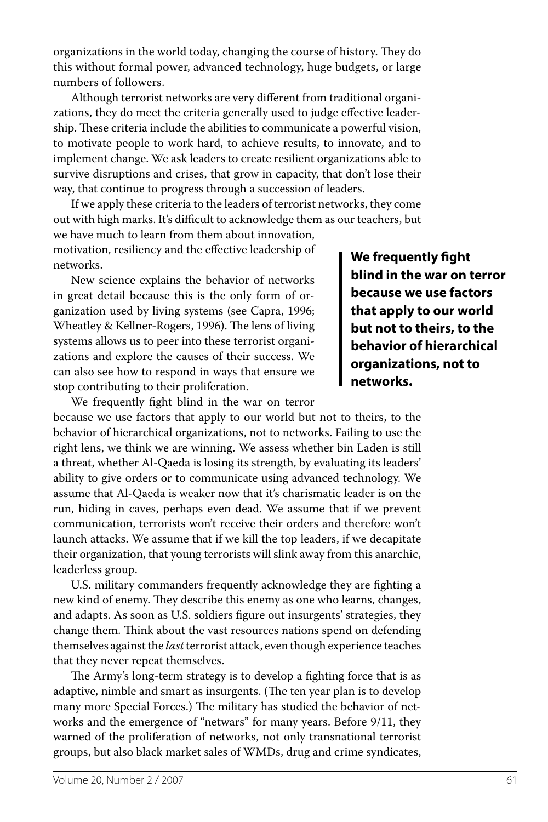organizations in the world today, changing the course of history. They do this without formal power, advanced technology, huge budgets, or large numbers of followers.

Although terrorist networks are very different from traditional organizations, they do meet the criteria generally used to judge effective leadership. These criteria include the abilities to communicate a powerful vision, to motivate people to work hard, to achieve results, to innovate, and to implement change. We ask leaders to create resilient organizations able to survive disruptions and crises, that grow in capacity, that don't lose their way, that continue to progress through a succession of leaders.

If we apply these criteria to the leaders of terrorist networks, they come out with high marks. It's difficult to acknowledge them as our teachers, but we have much to learn from them about innovation,

motivation, resiliency and the effective leadership of networks.

New science explains the behavior of networks in great detail because this is the only form of organization used by living systems (see Capra, 1996; Wheatley & Kellner-Rogers, 1996). The lens of living systems allows us to peer into these terrorist organizations and explore the causes of their success. We can also see how to respond in ways that ensure we stop contributing to their proliferation.

**We frequently fight blind in the war on terror because we use factors that apply to our world but not to theirs, to the behavior of hierarchical organizations, not to networks**.

We frequently fight blind in the war on terror because we use factors that apply to our world but not to theirs, to the behavior of hierarchical organizations, not to networks. Failing to use the right lens, we think we are winning. We assess whether bin Laden is still a threat, whether Al-Qaeda is losing its strength, by evaluating its leaders' ability to give orders or to communicate using advanced technology. We assume that Al-Qaeda is weaker now that it's charismatic leader is on the run, hiding in caves, perhaps even dead. We assume that if we prevent communication, terrorists won't receive their orders and therefore won't launch attacks. We assume that if we kill the top leaders, if we decapitate their organization, that young terrorists will slink away from this anarchic, leaderless group.

U.S. military commanders frequently acknowledge they are fighting a new kind of enemy. They describe this enemy as one who learns, changes, and adapts. As soon as U.S. soldiers figure out insurgents' strategies, they change them. Think about the vast resources nations spend on defending themselves against the *last* terrorist attack, even though experience teaches that they never repeat themselves.

The Army's long-term strategy is to develop a fighting force that is as adaptive, nimble and smart as insurgents. (The ten year plan is to develop many more Special Forces.) The military has studied the behavior of networks and the emergence of "netwars" for many years. Before 9/11, they warned of the proliferation of networks, not only transnational terrorist groups, but also black market sales of WMDs, drug and crime syndicates,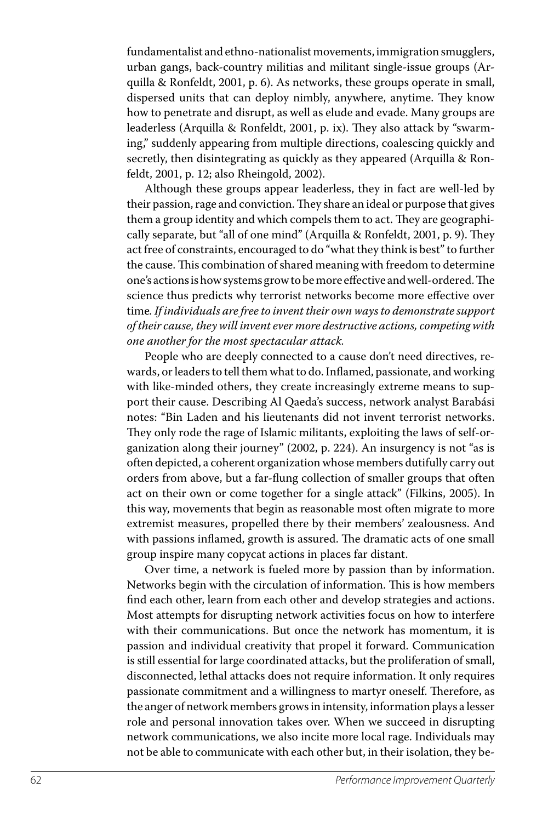fundamentalist and ethno-nationalist movements, immigration smugglers, urban gangs, back-country militias and militant single-issue groups (Arquilla & Ronfeldt, 2001, p. 6). As networks, these groups operate in small, dispersed units that can deploy nimbly, anywhere, anytime. They know how to penetrate and disrupt, as well as elude and evade. Many groups are leaderless (Arquilla & Ronfeldt, 2001, p. ix). They also attack by "swarming," suddenly appearing from multiple directions, coalescing quickly and secretly, then disintegrating as quickly as they appeared (Arquilla & Ronfeldt, 2001, p. 12; also Rheingold, 2002).

Although these groups appear leaderless, they in fact are well-led by their passion, rage and conviction. They share an ideal or purpose that gives them a group identity and which compels them to act. They are geographically separate, but "all of one mind" (Arquilla & Ronfeldt, 2001, p. 9). They act free of constraints, encouraged to do "what they think is best" to further the cause. This combination of shared meaning with freedom to determine one's actions is how systems grow to be more effective and well-ordered. The science thus predicts why terrorist networks become more effective over time*. If individuals are free to invent their own ways to demonstrate support of their cause, they will invent ever more destructive actions, competing with one another for the most spectacular attack.*

People who are deeply connected to a cause don't need directives, rewards, or leaders to tell them what to do. Inflamed, passionate, and working with like-minded others, they create increasingly extreme means to support their cause. Describing Al Qaeda's success, network analyst Barabási notes: "Bin Laden and his lieutenants did not invent terrorist networks. They only rode the rage of Islamic militants, exploiting the laws of self-organization along their journey" (2002, p. 224). An insurgency is not "as is often depicted, a coherent organization whose members dutifully carry out orders from above, but a far-flung collection of smaller groups that often act on their own or come together for a single attack" (Filkins, 2005). In this way, movements that begin as reasonable most often migrate to more extremist measures, propelled there by their members' zealousness. And with passions inflamed, growth is assured. The dramatic acts of one small group inspire many copycat actions in places far distant.

Over time, a network is fueled more by passion than by information. Networks begin with the circulation of information. This is how members find each other, learn from each other and develop strategies and actions. Most attempts for disrupting network activities focus on how to interfere with their communications. But once the network has momentum, it is passion and individual creativity that propel it forward. Communication is still essential for large coordinated attacks, but the proliferation of small, disconnected, lethal attacks does not require information. It only requires passionate commitment and a willingness to martyr oneself. Therefore, as the anger of network members grows in intensity, information plays a lesser role and personal innovation takes over. When we succeed in disrupting network communications, we also incite more local rage. Individuals may not be able to communicate with each other but, in their isolation, they be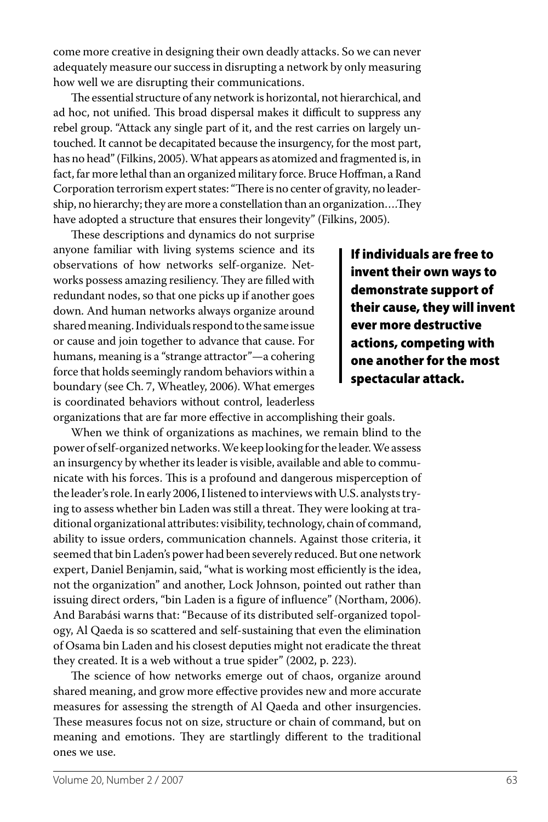come more creative in designing their own deadly attacks. So we can never adequately measure our success in disrupting a network by only measuring how well we are disrupting their communications.

The essential structure of any network is horizontal, not hierarchical, and ad hoc, not unified. This broad dispersal makes it difficult to suppress any rebel group. "Attack any single part of it, and the rest carries on largely untouched. It cannot be decapitated because the insurgency, for the most part, has no head" (Filkins, 2005). What appears as atomized and fragmented is, in fact, far more lethal than an organized military force. Bruce Hoffman, a Rand Corporation terrorism expert states: "There is no center of gravity, no leadership, no hierarchy; they are more a constellation than an organization….They have adopted a structure that ensures their longevity" (Filkins, 2005).

These descriptions and dynamics do not surprise anyone familiar with living systems science and its observations of how networks self-organize. Networks possess amazing resiliency. They are filled with redundant nodes, so that one picks up if another goes down. And human networks always organize around shared meaning. Individuals respond to the same issue or cause and join together to advance that cause. For humans, meaning is a "strange attractor"—a cohering force that holds seemingly random behaviors within a boundary (see Ch. 7, Wheatley, 2006). What emerges is coordinated behaviors without control, leaderless

If individuals are free to invent their own ways to demonstrate support of their cause, they will invent ever more destructive actions, competing with one another for the most spectacular attack.

organizations that are far more effective in accomplishing their goals.

When we think of organizations as machines, we remain blind to the power of self-organized networks. We keep looking for the leader. We assess an insurgency by whether its leader is visible, available and able to communicate with his forces. This is a profound and dangerous misperception of the leader's role. In early 2006, I listened to interviews with U.S. analysts trying to assess whether bin Laden was still a threat. They were looking at traditional organizational attributes: visibility, technology, chain of command, ability to issue orders, communication channels. Against those criteria, it seemed that bin Laden's power had been severely reduced. But one network expert, Daniel Benjamin, said, "what is working most efficiently is the idea, not the organization" and another, Lock Johnson, pointed out rather than issuing direct orders, "bin Laden is a figure of influence" (Northam, 2006). And Barabási warns that: "Because of its distributed self-organized topology, Al Qaeda is so scattered and self-sustaining that even the elimination of Osama bin Laden and his closest deputies might not eradicate the threat they created. It is a web without a true spider" (2002, p. 223).

The science of how networks emerge out of chaos, organize around shared meaning, and grow more effective provides new and more accurate measures for assessing the strength of Al Qaeda and other insurgencies. These measures focus not on size, structure or chain of command, but on meaning and emotions. They are startlingly different to the traditional ones we use.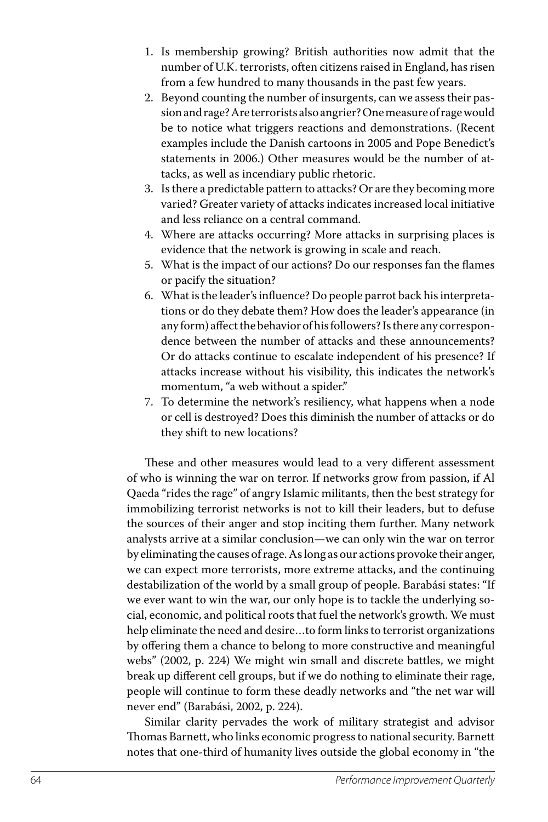- 1. Is membership growing? British authorities now admit that the number of U.K. terrorists, often citizens raised in England, has risen from a few hundred to many thousands in the past few years.
- 2. Beyond counting the number of insurgents, can we assess their passion and rage? Are terrorists also angrier? One measure of rage would be to notice what triggers reactions and demonstrations. (Recent examples include the Danish cartoons in 2005 and Pope Benedict's statements in 2006.) Other measures would be the number of attacks, as well as incendiary public rhetoric.
- 3. Is there a predictable pattern to attacks? Or are they becoming more varied? Greater variety of attacks indicates increased local initiative and less reliance on a central command.
- 4. Where are attacks occurring? More attacks in surprising places is evidence that the network is growing in scale and reach.
- 5. What is the impact of our actions? Do our responses fan the flames or pacify the situation?
- 6. What is the leader's influence? Do people parrot back his interpretations or do they debate them? How does the leader's appearance (in any form) affect the behavior of his followers? Is there any correspondence between the number of attacks and these announcements? Or do attacks continue to escalate independent of his presence? If attacks increase without his visibility, this indicates the network's momentum, "a web without a spider."
- 7. To determine the network's resiliency, what happens when a node or cell is destroyed? Does this diminish the number of attacks or do they shift to new locations?

These and other measures would lead to a very different assessment of who is winning the war on terror. If networks grow from passion, if Al Qaeda "rides the rage" of angry Islamic militants, then the best strategy for immobilizing terrorist networks is not to kill their leaders, but to defuse the sources of their anger and stop inciting them further. Many network analysts arrive at a similar conclusion—we can only win the war on terror by eliminating the causes of rage. As long as our actions provoke their anger, we can expect more terrorists, more extreme attacks, and the continuing destabilization of the world by a small group of people. Barabási states: "If we ever want to win the war, our only hope is to tackle the underlying social, economic, and political roots that fuel the network's growth. We must help eliminate the need and desire…to form links to terrorist organizations by offering them a chance to belong to more constructive and meaningful webs" (2002, p. 224) We might win small and discrete battles, we might break up different cell groups, but if we do nothing to eliminate their rage, people will continue to form these deadly networks and "the net war will never end" (Barabási, 2002, p. 224).

Similar clarity pervades the work of military strategist and advisor Thomas Barnett, who links economic progress to national security. Barnett notes that one-third of humanity lives outside the global economy in "the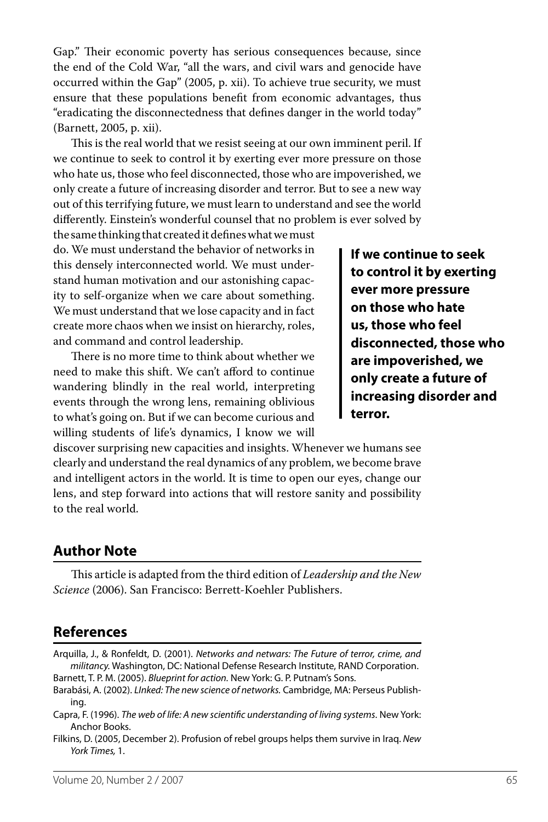Gap." Their economic poverty has serious consequences because, since the end of the Cold War, "all the wars, and civil wars and genocide have occurred within the Gap" (2005, p. xii). To achieve true security, we must ensure that these populations benefit from economic advantages, thus "eradicating the disconnectedness that defines danger in the world today" (Barnett, 2005, p. xii).

This is the real world that we resist seeing at our own imminent peril. If we continue to seek to control it by exerting ever more pressure on those who hate us, those who feel disconnected, those who are impoverished, we only create a future of increasing disorder and terror. But to see a new way out of this terrifying future, we must learn to understand and see the world differently. Einstein's wonderful counsel that no problem is ever solved by the same thinking that created it defines what we must

do. We must understand the behavior of networks in this densely interconnected world. We must understand human motivation and our astonishing capacity to self-organize when we care about something. We must understand that we lose capacity and in fact create more chaos when we insist on hierarchy, roles, and command and control leadership.

There is no more time to think about whether we need to make this shift. We can't afford to continue wandering blindly in the real world, interpreting events through the wrong lens, remaining oblivious to what's going on. But if we can become curious and willing students of life's dynamics, I know we will **If we continue to seek to control it by exerting ever more pressure on those who hate us, those who feel disconnected, those who are impoverished, we only create a future of increasing disorder and terror.**

discover surprising new capacities and insights. Whenever we humans see clearly and understand the real dynamics of any problem, we become brave and intelligent actors in the world. It is time to open our eyes, change our lens, and step forward into actions that will restore sanity and possibility to the real world.

#### **Author Note**

This article is adapted from the third edition of *Leadership and the New Science* (2006). San Francisco: Berrett-Koehler Publishers.

### **References**

- Arquilla, J., & Ronfeldt, D. (2001). *Networks and netwars: The Future of terror, crime, and militancy.* Washington, DC: National Defense Research Institute, RAND Corporation. Barnett, T. P. M. (2005). *Blueprint for action.* New York: G. P. Putnam's Sons.
- Barabási, A. (2002). *LInked: The new science of networks.* Cambridge, MA: Perseus Publishing.
- Capra, F. (1996). *The web of life: A new scientific understanding of living systems*. New York: Anchor Books.
- Filkins, D. (2005, December 2). Profusion of rebel groups helps them survive in Iraq. *New York Times,* 1.